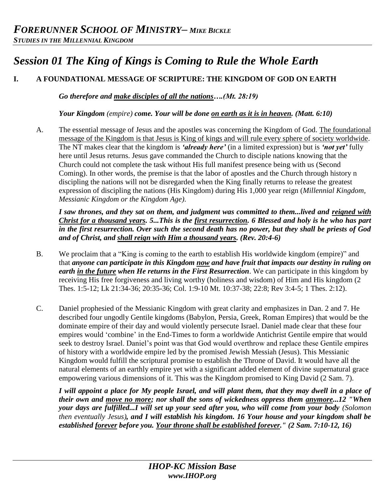# *Session 01 The King of Kings is Coming to Rule the Whole Earth*

## **I. A FOUNDATIONAL MESSAGE OF SCRIPTURE: THE KINGDOM OF GOD ON EARTH**

*Go therefore and make disciples of all the nations….(Mt. 28:19)*

*Your Kingdom (empire) come. Your will be done on earth as it is in heaven. (Matt. 6:10)*

A. The essential message of Jesus and the apostles was concerning the Kingdom of God. The foundational message of the Kingdom is that Jesus is King of kings and will rule every sphere of society worldwide. The NT makes clear that the kingdom is *'already here'* (in a limited expression) but is *'not yet'* fully here until Jesus returns. Jesus gave commanded the Church to disciple nations knowing that the Church could not complete the task without His full manifest presence being with us (Second Coming). In other words, the premise is that the labor of apostles and the Church through history n discipling the nations will not be disregarded when the King finally returns to release the greatest expression of discipling the nations (His Kingdom) during His 1,000 year reign (*Millennial Kingdom, Messianic Kingdom or the Kingdom Age)*.

*I saw thrones, and they sat on them, and judgment was committed to them...lived and reigned with Christ for a thousand years. 5...This is the first resurrection. 6 Blessed and holy is he who has part in the first resurrection. Over such the second death has no power, but they shall be priests of God and of Christ, and shall reign with Him a thousand years. (Rev. 20:4-6)* 

- B. We proclaim that a "King is coming to the earth to establish His worldwide kingdom (empire)" and that *anyone can participate in this Kingdom now and have fruit that impacts our destiny in ruling on earth in the future when He returns in the First Resurrection*. We can participate in this kingdom by receiving His free forgiveness and living worthy (holiness and wisdom) of Him and His kingdom (2 Thes. 1:5-12; Lk 21:34-36; 20:35-36; Col. 1:9-10 Mt. 10:37-38; 22:8; Rev 3:4-5; 1 Thes. 2:12).
- C. Daniel prophesied of the Messianic Kingdom with great clarity and emphasizes in Dan. 2 and 7. He described four ungodly Gentile kingdoms (Babylon, Persia, Greek, Roman Empires) that would be the dominate empire of their day and would violently persecute Israel. Daniel made clear that these four empires would 'combine' in the End-Times to form a worldwide Antichrist Gentile empire that would seek to destroy Israel. Daniel's point was that God would overthrow and replace these Gentile empires of history with a worldwide empire led by the promised Jewish Messiah (Jesus). This Messianic Kingdom would fulfill the scriptural promise to establish the Throne of David. It would have all the natural elements of an earthly empire yet with a significant added element of divine supernatural grace empowering various dimensions of it. This was the Kingdom promised to King David (2 Sam. 7).

*I will appoint a place for My people Israel, and will plant them, that they may dwell in a place of their own and move no more; nor shall the sons of wickedness oppress them anymore...12 "When your days are fulfilled...I will set up your seed after you, who will come from your body (Solomon then eventually Jesus), and I will establish his kingdom. 16 Your house and your kingdom shall be established forever before you. Your throne shall be established forever." (2 Sam. 7:10-12, 16)*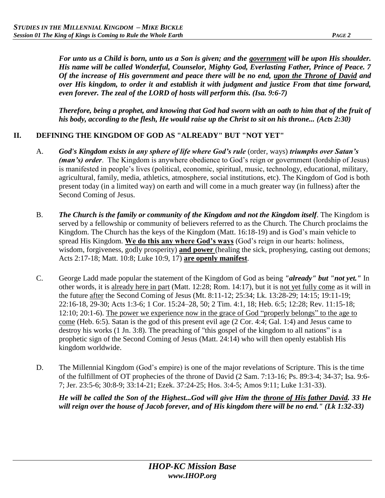*For unto us a Child is born, unto us a Son is given; and the government will be upon His shoulder. His name will be called Wonderful, Counselor, Mighty God, Everlasting Father, Prince of Peace. 7 Of the increase of His government and peace there will be no end, upon the Throne of David and over His kingdom, to order it and establish it with judgment and justice From that time forward, even forever. The zeal of the LORD of hosts will perform this. (Isa. 9:6-7)*

*Therefore, being a prophet, and knowing that God had sworn with an oath to him that of the fruit of his body, according to the flesh, He would raise up the Christ to sit on his throne... (Acts 2:30)* 

### **II. DEFINING THE KINGDOM OF GOD AS "ALREADY" BUT "NOT YET"**

- A. *God's Kingdom exists in any sphere of life where God's rule* (order, ways) *triumphs over Satan's (man's) order*. The Kingdom is anywhere obedience to God's reign or government (lordship of Jesus) is manifested in people's lives (political, economic, spiritual, music, technology, educational, military, agricultural, family, media, athletics, atmosphere, social institutions, etc). The Kingdom of God is both present today (in a limited way) on earth and will come in a much greater way (in fullness) after the Second Coming of Jesus.
- B. *The Church is the family or community of the Kingdom and not the Kingdom itself*. The Kingdom is served by a fellowship or community of believers referred to as the Church. The Church proclaims the Kingdom. The Church has the keys of the Kingdom (Matt. 16:18-19) and is God's main vehicle to spread His Kingdom. **We do this any where God's ways** (God's reign in our hearts: holiness, wisdom, forgiveness, godly prosperity) **and power** (healing the sick, prophesying, casting out demons; Acts 2:17-18; Matt. 10:8; Luke 10:9, 17) **are openly manifest**.
- C. George Ladd made popular the statement of the Kingdom of God as being *"already" but "not yet."* In other words, it is already here in part (Matt. 12:28; Rom. 14:17), but it is not yet fully come as it will in the future after the Second Coming of Jesus (Mt. 8:11-12; 25:34; Lk. 13:28-29; 14:15; 19:11-19; 22:16-18, 29-30; Acts 1:3-6; 1 Cor. 15:24–28, 50; 2 Tim. 4:1, 18; Heb. 6:5; 12:28; Rev. 11:15-18; 12:10; 20:1-6). The power we experience now in the grace of God "properly belongs" to the age to come (Heb. 6:5). Satan is the god of this present evil age (2 Cor. 4:4; Gal. 1:4) and Jesus came to destroy his works (1 Jn. 3:8). The preaching of "this gospel of the kingdom to all nations" is a prophetic sign of the Second Coming of Jesus (Matt. 24:14) who will then openly establish His kingdom worldwide.
- D. The Millennial Kingdom (God's empire) is one of the major revelations of Scripture. This is the time of the fulfillment of OT prophecies of the throne of David (2 Sam. 7:13-16; Ps. 89:3-4; 34-37; Isa. 9:6- 7; Jer. 23:5-6; 30:8-9; 33:14-21; Ezek. 37:24-25; Hos. 3:4-5; Amos 9:11; Luke 1:31-33).

*He will be called the Son of the Highest...God will give Him the throne of His father David. 33 He will reign over the house of Jacob forever, and of His kingdom there will be no end." (Lk 1:32-33)*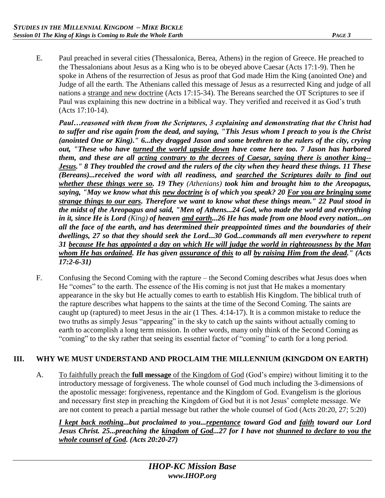E. Paul preached in several cities (Thessalonica, Berea, Athens) in the region of Greece. He preached to the Thessalonians about Jesus as a King who is to be obeyed above Caesar (Acts 17:1-9). Then he spoke in Athens of the resurrection of Jesus as proof that God made Him the King (anointed One) and Judge of all the earth. The Athenians called this message of Jesus as a resurrected King and judge of all nations a strange and new doctrine (Acts 17:15-34). The Bereans searched the OT Scriptures to see if Paul was explaining this new doctrine in a biblical way. They verified and received it as God's truth (Acts 17:10-14).

*Paul…reasoned with them from the Scriptures, 3 explaining and demonstrating that the Christ had to suffer and rise again from the dead, and saying, "This Jesus whom I preach to you is the Christ (anointed One or King)." 6...they dragged Jason and some brethren to the rulers of the city, crying out, "These who have turned the world upside down have come here too. 7 Jason has harbored them, and these are all acting contrary to the decrees of Caesar, saying there is another king-- Jesus." 8 They troubled the crowd and the rulers of the city when they heard these things. 11 These (Bereans)...received the word with all readiness, and searched the Scriptures daily to find out whether these things were so. 19 They (Athenians) took him and brought him to the Areopagus, saying, "May we know what this new doctrine is of which you speak? 20 For you are bringing some strange things to our ears. Therefore we want to know what these things mean." 22 Paul stood in the midst of the Areopagus and said, "Men of Athens...24 God, who made the world and everything in it, since He is Lord (King) of heaven and earth...26 He has made from one blood every nation...on all the face of the earth, and has determined their preappointed times and the boundaries of their dwellings, 27 so that they should seek the Lord...30 God...commands all men everywhere to repent 31 because He has appointed a day on which He will judge the world in righteousness by the Man whom He has ordained. He has given assurance of this to all by raising Him from the dead." (Acts 17:2-6-31)* 

F. Confusing the Second Coming with the rapture – the Second Coming describes what Jesus does when He "comes" to the earth. The essence of the His coming is not just that He makes a momentary appearance in the sky but He actually comes to earth to establish His Kingdom. The biblical truth of the rapture describes what happens to the saints at the time of the Second Coming. The saints are caught up (raptured) to meet Jesus in the air (1 Thes. 4:14-17). It is a common mistake to reduce the two truths as simply Jesus "appearing" in the sky to catch up the saints without actually coming to earth to accomplish a long term mission. In other words, many only think of the Second Coming as "coming" to the sky rather that seeing its essential factor of "coming" to earth for a long period.

#### **III. WHY WE MUST UNDERSTAND AND PROCLAIM THE MILLENNIUM (KINGDOM ON EARTH)**

A. To faithfully preach the **full message** of the Kingdom of God (God's empire) without limiting it to the introductory message of forgiveness. The whole counsel of God much including the 3-dimensions of the apostolic message: forgiveness, repentance and the Kingdom of God. Evangelism is the glorious and necessary first step in preaching the Kingdom of God but it is not Jesus' complete message. We are not content to preach a partial message but rather the whole counsel of God (Acts 20:20, 27; 5:20)

*I kept back nothing...but proclaimed to you...repentance toward God and faith toward our Lord Jesus Christ. 25...preaching the kingdom of God...27 for I have not shunned to declare to you the whole counsel of God. (Acts 20:20-27)*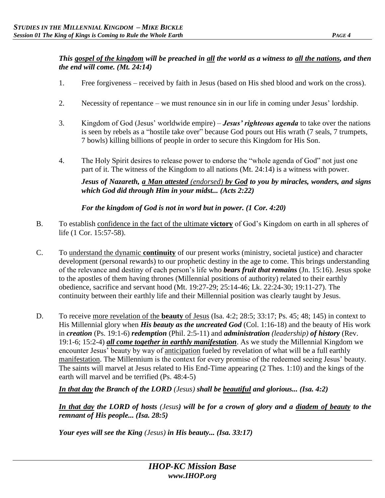### *This gospel of the kingdom will be preached in all the world as a witness to all the nations, and then the end will come. (Mt. 24:14)*

- 1. Free forgiveness received by faith in Jesus (based on His shed blood and work on the cross).
- 2. Necessity of repentance we must renounce sin in our life in coming under Jesus' lordship.
- 3. Kingdom of God (Jesus' worldwide empire) *Jesus' righteous agenda* to take over the nations is seen by rebels as a "hostile take over" because God pours out His wrath (7 seals, 7 trumpets, 7 bowls) killing billions of people in order to secure this Kingdom for His Son.
- 4. The Holy Spirit desires to release power to endorse the "whole agenda of God" not just one part of it. The witness of the Kingdom to all nations (Mt. 24:14) is a witness with power.

*Jesus of Nazareth, a Man attested (endorsed) by God to you by miracles, wonders, and signs which God did through Him in your midst... (Acts 2:22)*

*For the kingdom of God is not in word but in power. (1 Cor. 4:20)* 

- B. To establish confidence in the fact of the ultimate **victory** of God's Kingdom on earth in all spheres of life (1 Cor. 15:57-58).
- C. To understand the dynamic **continuity** of our present works (ministry, societal justice) and character development (personal rewards) to our prophetic destiny in the age to come. This brings understanding of the relevance and destiny of each person's life who *bears fruit that remains* (Jn. 15:16). Jesus spoke to the apostles of them having thrones (Millennial positions of authority) related to their earthly obedience, sacrifice and servant hood (Mt. 19:27-29; 25:14-46; Lk. 22:24-30; 19:11-27). The continuity between their earthly life and their Millennial position was clearly taught by Jesus.
- D. To receive more revelation of the **beauty** of Jesus (Isa. 4:2; 28:5; 33:17; Ps. 45; 48; 145) in context to His Millennial glory when *His beauty as the uncreated God* (Col. 1:16-18) and the beauty of His work in *creation* (Ps. 19:1-6) *redemption* (Phil. 2:5-11) and *administration (leadership) of history* (Rev. 19:1-6; 15:2-4) *all come together in earthly manifestation*. As we study the Millennial Kingdom we encounter Jesus' beauty by way of anticipation fueled by revelation of what will be a full earthly manifestation. The Millennium is the context for every promise of the redeemed seeing Jesus' beauty. The saints will marvel at Jesus related to His End-Time appearing (2 Thes. 1:10) and the kings of the earth will marvel and be terrified (Ps. 48:4-5)

*In that day the Branch of the LORD (Jesus) shall be beautiful and glorious... (Isa. 4:2)* 

*In that day the LORD of hosts (Jesus) will be for a crown of glory and a diadem of beauty to the remnant of His people... (Isa. 28:5)* 

*Your eyes will see the King (Jesus) in His beauty... (Isa. 33:17)*